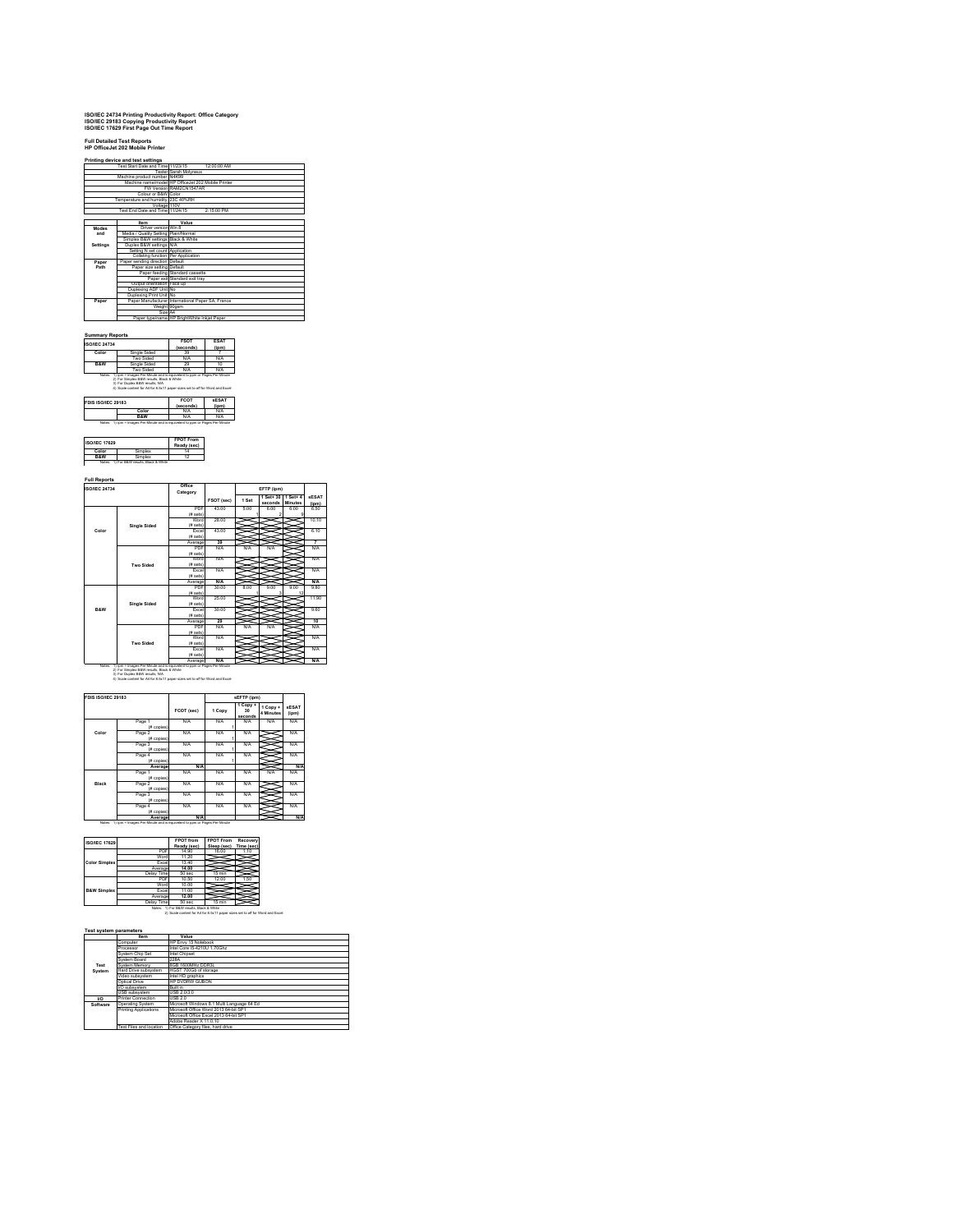# **ISO/IEC 24734 Printing Productivity Report: Office Category ISO/IEC 29183 Copying Productivity Report ISO/IEC 17629 First Page Out Time Report**

|              | Printing device and test settings<br>Test Start Date and Time 11/23/15 | 12:00:00 AM                                        |  |
|--------------|------------------------------------------------------------------------|----------------------------------------------------|--|
|              |                                                                        | <b>Tester Sarah Molyneux</b>                       |  |
|              | Machine product number N4K99                                           |                                                    |  |
|              |                                                                        | Machine name/model HP OfficeJet 202 Mobile Printer |  |
|              |                                                                        | FW Version RAM2CN1547AR                            |  |
|              | Colour or B&W Color                                                    |                                                    |  |
|              | Temperature and humidity 23C 40%RH                                     |                                                    |  |
|              | Voltage 110V                                                           |                                                    |  |
|              | Test End Date and Time 11/24/15                                        | 2:15:00 PM                                         |  |
|              |                                                                        |                                                    |  |
|              | Item                                                                   | Value                                              |  |
| <b>Modes</b> | Driver version Win 8                                                   |                                                    |  |
| and          | Media / Quality Setting Plain/Normal                                   |                                                    |  |
|              | Simplex B&W settings Black & White                                     |                                                    |  |
| Settings     | Duplex B&W settings N/A                                                |                                                    |  |
|              | Setting N set count Application                                        |                                                    |  |
|              | Collating function Per Application                                     |                                                    |  |
| Paper        | Paper sending direction Default                                        |                                                    |  |
| Path         | Paper size setting Default                                             |                                                    |  |
|              |                                                                        | Paper feeding Standard cassette                    |  |
|              |                                                                        | Paper exit Standard exit trav                      |  |
|              | Output orientation Face up                                             |                                                    |  |
|              | Duplexing ADF Unit No.                                                 |                                                    |  |
|              | Duplexing Print Unit No.                                               |                                                    |  |
| Paper        |                                                                        | Paper Manufacturer International Paper SA. France  |  |
|              |                                                                        | Weight 90gsm                                       |  |
|              | Size A4                                                                |                                                    |  |
|              |                                                                        | Paper type/name HP BrightWhite Inkiet Paper        |  |

| <b>ISO/IEC 24734</b> |                                                                                                                             | <b>FSOT</b><br>(seconds) | <b>ESAT</b><br>$($ ipm $)$ |
|----------------------|-----------------------------------------------------------------------------------------------------------------------------|--------------------------|----------------------------|
| Color                | Single Sided                                                                                                                | 39                       |                            |
|                      | Two Sided                                                                                                                   | N/A                      | N/A                        |
| <b>R&amp;W</b>       | Single Sided                                                                                                                | 29                       | 10                         |
|                      | Two Sided                                                                                                                   | N/A                      | N/A                        |
|                      | Notes: 1) ion = Images Per Minute and is equivelent to pom or Pages Per Minute<br>2) For Simplex B&W results. Black & White |                          |                            |
|                      | 3) For Duplex B&W results, N/A<br>4) Scale content for A4 for 8.5x11 paper sizes set to off for Word and Excel              | <b>FCOT</b>              | <b>SESAT</b>               |
|                      |                                                                                                                             | (seconds)                |                            |
| FDIS ISO/IEC 29183   | Color<br><b>R&amp;W</b>                                                                                                     | N/A<br>N/A               | (ipm)<br>N/A<br>N/A        |

| <b>ISO/IEC 17629</b> |        | <b>FPOT From</b><br>Ready (sec) |
|----------------------|--------|---------------------------------|
| Color                | amplex |                                 |
| <b>R&amp;W</b>       |        |                                 |

**Full Reports**

| <b>ISO/IEC 24734</b> |                                                                         | Office<br>Category |            |       | EFTP (ipm)           |                            |                       |
|----------------------|-------------------------------------------------------------------------|--------------------|------------|-------|----------------------|----------------------------|-----------------------|
|                      |                                                                         |                    | FSOT (sec) | 1 Set | 1 Set+ 30<br>seconds | 1 Set+ 4<br><b>Minutes</b> | <b>SESAT</b><br>(jpm) |
|                      |                                                                         | PDF                | 43.00      | 5.00  | 6.00                 | 6.00                       | 6.50                  |
|                      |                                                                         | (# sets)           |            |       |                      |                            |                       |
|                      |                                                                         | Word               | 28.00      |       |                      |                            | 10.10                 |
|                      | <b>Single Sided</b>                                                     | (# sets)           |            |       |                      |                            |                       |
| Color                |                                                                         | Excel              | 43.00      |       |                      |                            | 6.10                  |
|                      |                                                                         | (# sets)           |            |       |                      |                            |                       |
|                      |                                                                         | Average<br>PDF     | 39<br>N/A  | N/A   | N/A                  |                            | 7                     |
|                      |                                                                         |                    |            |       |                      |                            | <b>N/A</b>            |
|                      |                                                                         | (# sets)           |            |       |                      |                            |                       |
|                      | <b>Two Sided</b>                                                        | Word<br>(# sets)   | N/A        |       |                      |                            | <b>N/A</b>            |
|                      |                                                                         |                    | N/A        |       |                      |                            | <b>N/A</b>            |
|                      |                                                                         | Excel<br>(# sets)  |            |       |                      |                            |                       |
|                      |                                                                         | Average            | N/A        |       |                      |                            | N/A                   |
|                      |                                                                         | PDF                | 30.00      | 8.00  | 9.00                 | 9.00                       | 9.80                  |
|                      |                                                                         | (# sets)           |            |       | ä                    | 12                         |                       |
|                      |                                                                         | Word               | 25.00      |       |                      |                            | 11.90                 |
|                      | <b>Single Sided</b>                                                     | (# sets)           |            |       |                      |                            |                       |
| B&W                  |                                                                         | Excel              | 30.00      |       |                      |                            | 9.60                  |
|                      |                                                                         | (# sets)           |            |       |                      |                            |                       |
|                      |                                                                         | Average            | 29         |       |                      |                            | 10                    |
|                      |                                                                         | PDF                | N/A        | N/A   | N/A                  |                            | <b>N/A</b>            |
|                      |                                                                         | (# sets)           |            |       |                      |                            |                       |
|                      |                                                                         | Word               | N/A        |       |                      |                            | <b>N/A</b>            |
|                      | <b>Two Sided</b>                                                        | (# sets)           |            |       |                      |                            |                       |
|                      |                                                                         | <b>Fxnel</b>       | N/A        |       |                      |                            | <b>N/A</b>            |
|                      |                                                                         | (# sets)           |            |       |                      |                            |                       |
| Notes:               | 1) ipm = Images Per Minute and is equivelent to ppm or Pages Per Minute | Average            | $N/\Delta$ |       |                      |                            | <b>N/A</b>            |

| FDIS ISO/IEC 29183 |                      |            |        | sEFTP (ipm)                            |                       |                       |
|--------------------|----------------------|------------|--------|----------------------------------------|-----------------------|-----------------------|
|                    |                      | FCOT (sec) | 1 Copy | 1 Copy +<br>30 <sub>0</sub><br>seconds | 1 Copy +<br>4 Minutes | <b>sESAT</b><br>(ipm) |
|                    | Page 1<br>(# copies) | N/A        | N/A    | N/A                                    | N/A                   | N/A                   |
| Color              | Page 2<br>(# copies) | N/A        | N/A    | N/A                                    |                       | N/A                   |
|                    | Page 3<br>(# copies) | N/A        | N/A    | N/A                                    |                       | N/A                   |
|                    | Page 4<br>(# copies) | N/A        | N/A    | N/A                                    |                       | N/A                   |
|                    | Average              | <b>N/A</b> |        |                                        |                       | N/A                   |
|                    | Page 1<br>(# copies) | N/A        | N/A    | N/A                                    | N/A                   | N/A                   |
| Black              | Page 2<br>(# copies) | N/A        | N/A    | N/A                                    |                       | N/A                   |
|                    | Page 3<br>(# copies) | N/A        | N/A    | N/A                                    |                       | <b>N/A</b>            |
|                    | Page 4<br>(# copies) | N/A        | N/A    | N/A                                    |                       | N/A                   |
|                    | Average              | <b>N/A</b> |        |                                        |                       | N/A                   |

|                        |              | <b>FPOT</b> from                                                             | <b>FPOT From</b> | Recovery   |
|------------------------|--------------|------------------------------------------------------------------------------|------------------|------------|
| <b>ISO/IEC 17629</b>   |              | Ready (sec)                                                                  | Sleep (sec)      | Time (sec) |
|                        | PDF          | 14.90                                                                        | 16.00            | 1.10       |
|                        | Word         | 11.20                                                                        |                  |            |
| <b>Color Simplex</b>   | <b>Excel</b> | 13.40                                                                        |                  |            |
|                        | Average      | 14.00                                                                        |                  |            |
|                        | Delay Time   | 50 sec                                                                       | 15 min           |            |
|                        | PDF          | 10.50                                                                        | 12.00            | 1.50       |
|                        | Word         | 10.00                                                                        |                  |            |
| <b>B&amp;W Simplex</b> | Excel        | 11.00                                                                        |                  |            |
|                        | Average      | 12.00                                                                        |                  |            |
|                        | Delay Time   | 50 sec                                                                       | 15 min           |            |
|                        |              | Notes: 1) For B&W results, Black & White                                     |                  |            |
|                        |              | 2) Scale content for A4 for 8.5x11 paper sizes set to off for Word and Excel |                  |            |

|          | <b>Item</b>               | Value                                      |
|----------|---------------------------|--------------------------------------------|
|          | Computer                  | HP Envy 15 Notebook                        |
|          | Processor                 | Intel Core 15-421011 1 70Ghz               |
|          | System Chip Set           | Intel Chipset                              |
|          | System Roard              | <b>228A</b>                                |
| Test     | System Memory             | 8GB 1600MHz DDR3L                          |
| System   | Hard Drive subsystem      | HGST 700Gb of storage                      |
|          | Video subsystem           | Intel HD graphics                          |
|          | Ontical Drive             | HP DVDRW GUBON                             |
|          | I/O subsystem             | <b>Ruilt in</b>                            |
|          | USB subsystem             | USB 2.0/3.0                                |
| m        | <b>Printer Connection</b> | USB 2.0                                    |
| Software | <b>Operating System</b>   | Microsoft Windows 8.1 Multi Language 64 Ed |
|          | Printing Applications     | Microsoft Office Word 2013 64-bit SP1      |
|          |                           | Microsoft Office Excel 2013 64-bit SP1     |
|          |                           | Adobe Reader X 11.0.10                     |
|          | Test Files and location   | Office Category files, hard drive          |